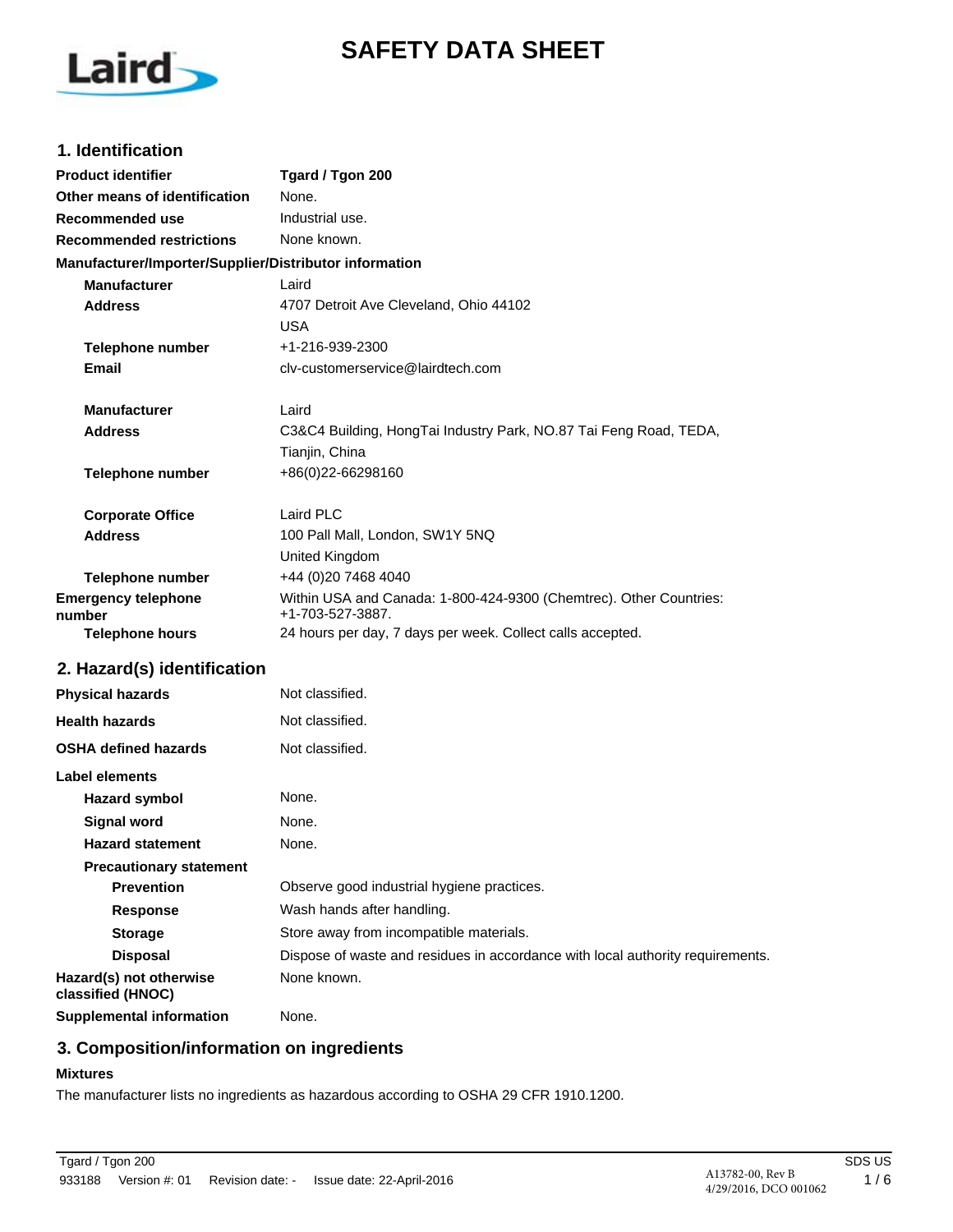# **SAFETY DATA SHEET**



### **1. Identification**

| <b>Product identifier</b>                              | Tgard / Tgon 200                                                                       |
|--------------------------------------------------------|----------------------------------------------------------------------------------------|
| Other means of identification                          | None.                                                                                  |
| <b>Recommended use</b>                                 | Industrial use.                                                                        |
| <b>Recommended restrictions</b>                        | None known.                                                                            |
| Manufacturer/Importer/Supplier/Distributor information |                                                                                        |
| <b>Manufacturer</b>                                    | Laird                                                                                  |
| <b>Address</b>                                         | 4707 Detroit Ave Cleveland, Ohio 44102                                                 |
|                                                        | <b>USA</b>                                                                             |
| <b>Telephone number</b>                                | +1-216-939-2300                                                                        |
| Email                                                  | cly-customerservice@lairdtech.com                                                      |
| <b>Manufacturer</b>                                    | Laird                                                                                  |
| <b>Address</b>                                         | C3&C4 Building, HongTai Industry Park, NO.87 Tai Feng Road, TEDA,                      |
|                                                        | Tianjin, China                                                                         |
| <b>Telephone number</b>                                | +86(0)22-66298160                                                                      |
| <b>Corporate Office</b>                                | Laird PLC                                                                              |
| <b>Address</b>                                         | 100 Pall Mall, London, SW1Y 5NQ                                                        |
|                                                        | United Kingdom                                                                         |
| <b>Telephone number</b>                                | +44 (0)20 7468 4040                                                                    |
| <b>Emergency telephone</b><br>number                   | Within USA and Canada: 1-800-424-9300 (Chemtrec). Other Countries:<br>+1-703-527-3887. |
| <b>Telephone hours</b>                                 | 24 hours per day, 7 days per week. Collect calls accepted.                             |
| 2. Hazard(s) identification                            |                                                                                        |
| <b>Physical hazards</b>                                | Not classified.                                                                        |
| <b>Health hazards</b>                                  | Not classified.                                                                        |
| <b>OSHA defined hazards</b>                            | Not classified.                                                                        |
| Label elements                                         |                                                                                        |
| <b>Hazard symbol</b>                                   | None.                                                                                  |
| <b>Signal word</b>                                     | None.                                                                                  |
| <b>Hazard statement</b>                                | None.                                                                                  |
| <b>Precautionary statement</b>                         |                                                                                        |
| <b>Prevention</b>                                      | Observe good industrial hygiene practices.                                             |
| Response                                               | Wash hands after handling.                                                             |
| <b>Storage</b>                                         | Store away from incompatible materials.                                                |
| <b>Disposal</b>                                        | Dispose of waste and residues in accordance with local authority requirements.         |
| Hazard(s) not otherwise<br>classified (HNOC)           | None known.                                                                            |

**Supplemental information** None.

# **3. Composition/information on ingredients**

### **Mixtures**

The manufacturer lists no ingredients as hazardous according to OSHA 29 CFR 1910.1200.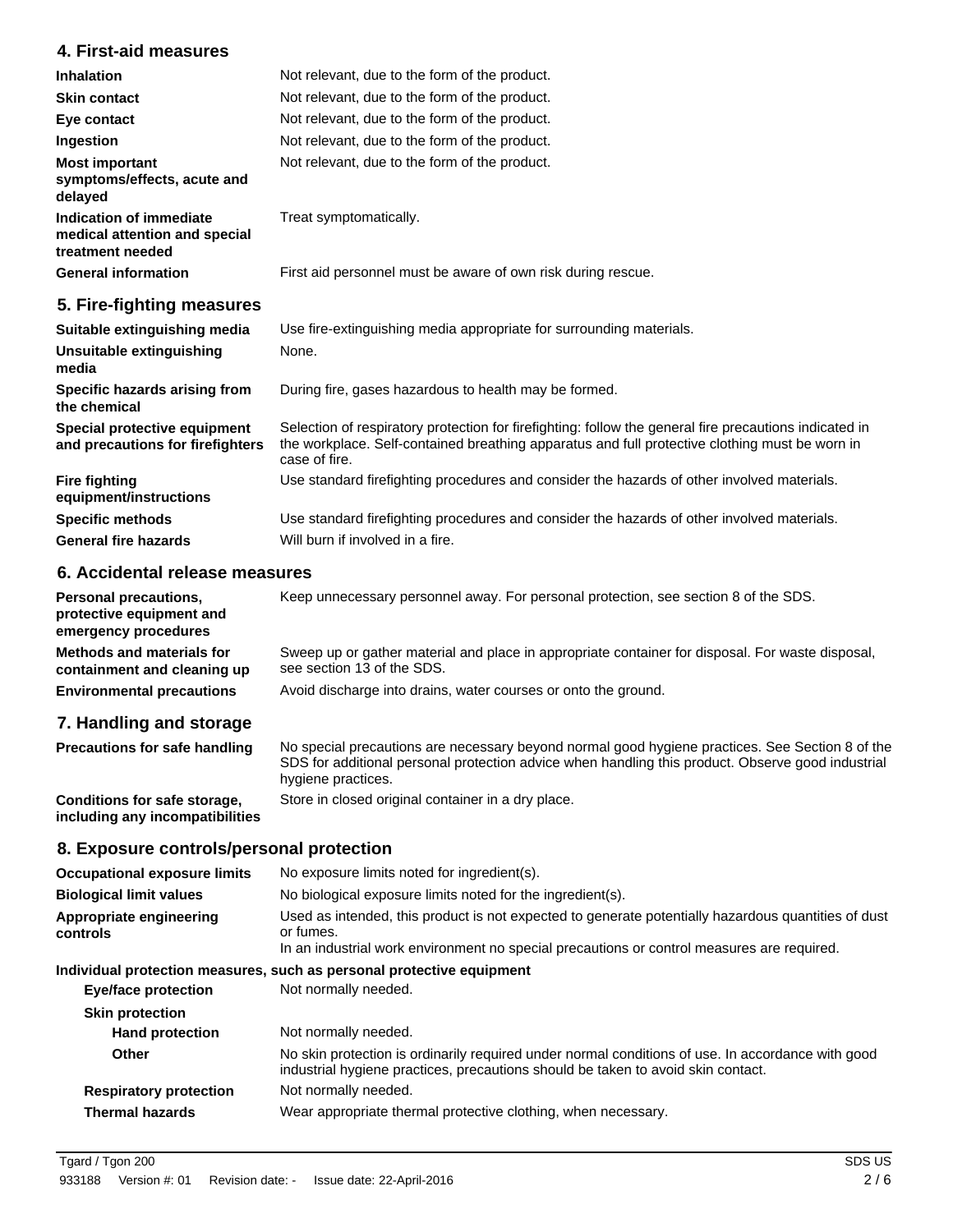# **4. First-aid measures**

| <b>Inhalation</b>                                                            | Not relevant, due to the form of the product.                                                                                                                                                                             |  |
|------------------------------------------------------------------------------|---------------------------------------------------------------------------------------------------------------------------------------------------------------------------------------------------------------------------|--|
| <b>Skin contact</b>                                                          | Not relevant, due to the form of the product.                                                                                                                                                                             |  |
| Eye contact                                                                  | Not relevant, due to the form of the product.                                                                                                                                                                             |  |
| Ingestion                                                                    | Not relevant, due to the form of the product.                                                                                                                                                                             |  |
| <b>Most important</b><br>symptoms/effects, acute and<br>delayed              | Not relevant, due to the form of the product.                                                                                                                                                                             |  |
| Indication of immediate<br>medical attention and special<br>treatment needed | Treat symptomatically.                                                                                                                                                                                                    |  |
| <b>General information</b>                                                   | First aid personnel must be aware of own risk during rescue.                                                                                                                                                              |  |
| 5. Fire-fighting measures                                                    |                                                                                                                                                                                                                           |  |
| Suitable extinguishing media                                                 | Use fire-extinguishing media appropriate for surrounding materials.                                                                                                                                                       |  |
| Unsuitable extinguishing<br>media                                            | None.                                                                                                                                                                                                                     |  |
| Specific hazards arising from<br>the chemical                                | During fire, gases hazardous to health may be formed.                                                                                                                                                                     |  |
| Special protective equipment<br>and precautions for firefighters             | Selection of respiratory protection for firefighting: follow the general fire precautions indicated in<br>the workplace. Self-contained breathing apparatus and full protective clothing must be worn in<br>case of fire. |  |
| <b>Fire fighting</b><br>equipment/instructions                               | Use standard firefighting procedures and consider the hazards of other involved materials.                                                                                                                                |  |
| <b>Specific methods</b>                                                      | Use standard firefighting procedures and consider the hazards of other involved materials.                                                                                                                                |  |

#### **6. Accidental release measures**

**General fire hazards** Will burn if involved in a fire.

**Personal precautions,** Keep unnecessary personnel away. For personal protection, see section 8 of the SDS. **protective equipment and emergency procedures** Sweep up or gather material and place in appropriate container for disposal. For waste disposal, see section 13 of the SDS. **Methods and materials for containment and cleaning up Environmental precautions** Avoid discharge into drains, water courses or onto the ground.

### **7. Handling and storage**

| <b>Precautions for safe handling</b>                            | No special precautions are necessary beyond normal good hygiene practices. See Section 8 of the<br>SDS for additional personal protection advice when handling this product. Observe good industrial<br>hygiene practices. |
|-----------------------------------------------------------------|----------------------------------------------------------------------------------------------------------------------------------------------------------------------------------------------------------------------------|
| Conditions for safe storage,<br>including any incompatibilities | Store in closed original container in a dry place.                                                                                                                                                                         |

### **8. Exposure controls/personal protection**

| <b>Occupational exposure limits</b> | No exposure limits noted for ingredient(s).                                                                                                                                                                    |  |
|-------------------------------------|----------------------------------------------------------------------------------------------------------------------------------------------------------------------------------------------------------------|--|
| <b>Biological limit values</b>      | No biological exposure limits noted for the ingredient(s).                                                                                                                                                     |  |
| Appropriate engineering<br>controls | Used as intended, this product is not expected to generate potentially hazardous quantities of dust<br>or fumes.<br>In an industrial work environment no special precautions or control measures are required. |  |
|                                     | Individual protection measures, such as personal protective equipment                                                                                                                                          |  |
| <b>Eye/face protection</b>          | Not normally needed.                                                                                                                                                                                           |  |
| <b>Skin protection</b>              |                                                                                                                                                                                                                |  |
| <b>Hand protection</b>              | Not normally needed.                                                                                                                                                                                           |  |
| Other                               | No skin protection is ordinarily required under normal conditions of use. In accordance with good<br>industrial hygiene practices, precautions should be taken to avoid skin contact.                          |  |
| <b>Respiratory protection</b>       | Not normally needed.                                                                                                                                                                                           |  |
| <b>Thermal hazards</b>              | Wear appropriate thermal protective clothing, when necessary.                                                                                                                                                  |  |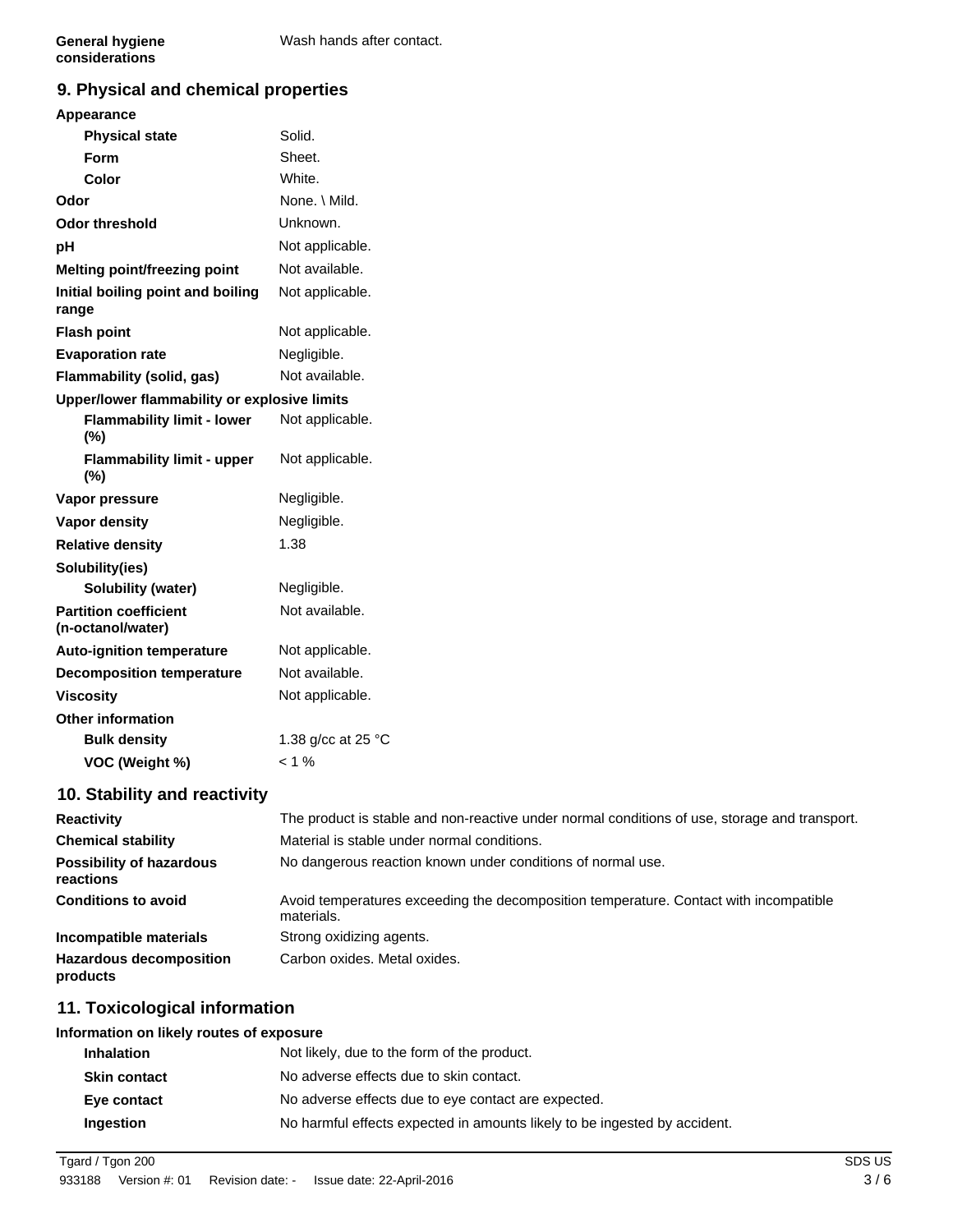# **9. Physical and chemical properties**

### **Appearance**

| <b>Physical state</b>                             | Solid.             |
|---------------------------------------------------|--------------------|
| Form                                              | Sheet.             |
| Color                                             | White.             |
| Odor                                              | None. \ Mild.      |
| <b>Odor threshold</b>                             | Unknown.           |
| pH                                                | Not applicable.    |
| Melting point/freezing point                      | Not available.     |
| Initial boiling point and boiling<br>range        | Not applicable.    |
| <b>Flash point</b>                                | Not applicable.    |
| <b>Evaporation rate</b>                           | Negligible.        |
| Flammability (solid, gas)                         | Not available.     |
| Upper/lower flammability or explosive limits      |                    |
| <b>Flammability limit - lower</b><br>$(\%)$       | Not applicable.    |
| <b>Flammability limit - upper</b><br>$(\%)$       | Not applicable.    |
| Vapor pressure                                    | Negligible.        |
| Vapor density                                     | Negligible.        |
| <b>Relative density</b>                           | 1.38               |
| Solubility(ies)                                   |                    |
| <b>Solubility (water)</b>                         | Negligible.        |
| <b>Partition coefficient</b><br>(n-octanol/water) | Not available.     |
| <b>Auto-ignition temperature</b>                  | Not applicable.    |
| <b>Decomposition temperature</b>                  | Not available.     |
| <b>Viscosity</b>                                  | Not applicable.    |
| <b>Other information</b>                          |                    |
| <b>Bulk density</b>                               | 1.38 g/cc at 25 °C |
| VOC (Weight %)                                    | $< 1 \%$           |
| 10. Stability and reactivity                      |                    |

| <b>Reactivity</b>                            | The product is stable and non-reactive under normal conditions of use, storage and transport.       |  |
|----------------------------------------------|-----------------------------------------------------------------------------------------------------|--|
| <b>Chemical stability</b>                    | Material is stable under normal conditions.                                                         |  |
| <b>Possibility of hazardous</b><br>reactions | No dangerous reaction known under conditions of normal use.                                         |  |
| <b>Conditions to avoid</b>                   | Avoid temperatures exceeding the decomposition temperature. Contact with incompatible<br>materials. |  |
| Incompatible materials                       | Strong oxidizing agents.                                                                            |  |
| <b>Hazardous decomposition</b><br>products   | Carbon oxides. Metal oxides.                                                                        |  |

# **11. Toxicological information**

#### **Information on likely routes of exposure**

| <b>Inhalation</b>   | Not likely, due to the form of the product.                               |  |  |
|---------------------|---------------------------------------------------------------------------|--|--|
| <b>Skin contact</b> | No adverse effects due to skin contact.                                   |  |  |
| Eye contact         | No adverse effects due to eye contact are expected.                       |  |  |
| Ingestion           | No harmful effects expected in amounts likely to be ingested by accident. |  |  |

Tgard / Tgon 200 SDS US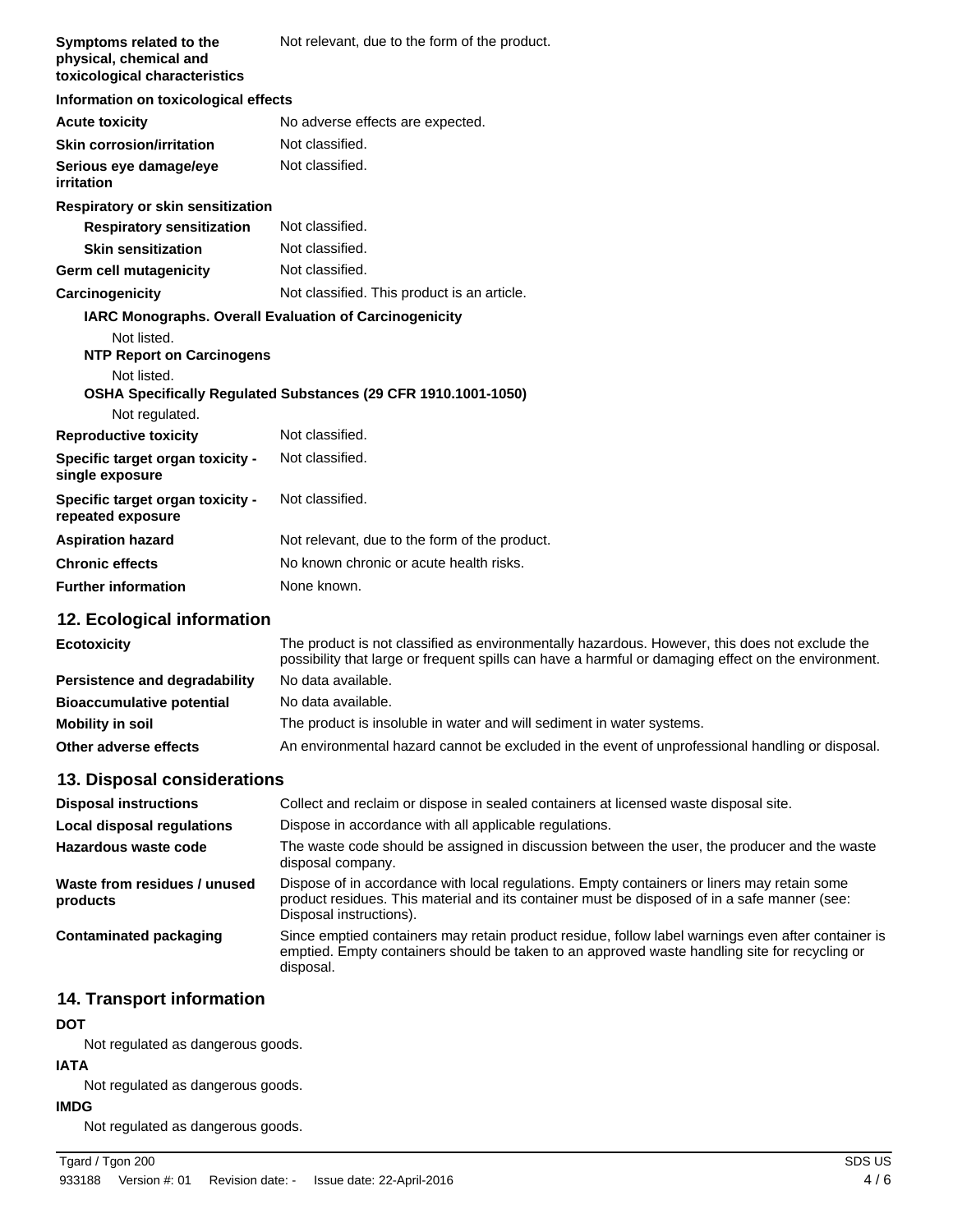| Symptoms related to the<br>physical, chemical and<br>toxicological characteristics | Not relevant, due to the form of the product.                                                                                                                                                        |
|------------------------------------------------------------------------------------|------------------------------------------------------------------------------------------------------------------------------------------------------------------------------------------------------|
| Information on toxicological effects                                               |                                                                                                                                                                                                      |
| <b>Acute toxicity</b>                                                              | No adverse effects are expected.                                                                                                                                                                     |
| <b>Skin corrosion/irritation</b>                                                   | Not classified.                                                                                                                                                                                      |
| Serious eye damage/eye<br>irritation                                               | Not classified.                                                                                                                                                                                      |
| Respiratory or skin sensitization                                                  |                                                                                                                                                                                                      |
| <b>Respiratory sensitization</b>                                                   | Not classified.                                                                                                                                                                                      |
| <b>Skin sensitization</b>                                                          | Not classified.                                                                                                                                                                                      |
| Germ cell mutagenicity                                                             | Not classified.                                                                                                                                                                                      |
| Carcinogenicity                                                                    | Not classified. This product is an article.                                                                                                                                                          |
|                                                                                    | <b>IARC Monographs. Overall Evaluation of Carcinogenicity</b>                                                                                                                                        |
| Not listed.<br><b>NTP Report on Carcinogens</b>                                    |                                                                                                                                                                                                      |
| Not listed.                                                                        | OSHA Specifically Regulated Substances (29 CFR 1910.1001-1050)                                                                                                                                       |
| Not regulated.                                                                     |                                                                                                                                                                                                      |
| <b>Reproductive toxicity</b>                                                       | Not classified.                                                                                                                                                                                      |
| Specific target organ toxicity -<br>single exposure                                | Not classified.                                                                                                                                                                                      |
| Specific target organ toxicity -<br>repeated exposure                              | Not classified.                                                                                                                                                                                      |
| <b>Aspiration hazard</b>                                                           | Not relevant, due to the form of the product.                                                                                                                                                        |
| <b>Chronic effects</b>                                                             | No known chronic or acute health risks.                                                                                                                                                              |
| <b>Further information</b>                                                         | None known.                                                                                                                                                                                          |
| 12. Ecological information                                                         |                                                                                                                                                                                                      |
| <b>Ecotoxicity</b>                                                                 | The product is not classified as environmentally hazardous. However, this does not exclude the<br>possibility that large or frequent spills can have a harmful or damaging effect on the environment |

|                                  | possibility that large of flequent splits can have a harmlul or damaging effect on the environment. |
|----------------------------------|-----------------------------------------------------------------------------------------------------|
| Persistence and degradability    | No data available.                                                                                  |
| <b>Bioaccumulative potential</b> | No data available.                                                                                  |
| <b>Mobility in soil</b>          | The product is insoluble in water and will sediment in water systems.                               |
| Other adverse effects            | An environmental hazard cannot be excluded in the event of unprofessional handling or disposal.     |

# **13. Disposal considerations**

| <b>Disposal instructions</b>             | Collect and reclaim or dispose in sealed containers at licensed waste disposal site.                                                                                                                                   |  |
|------------------------------------------|------------------------------------------------------------------------------------------------------------------------------------------------------------------------------------------------------------------------|--|
| Local disposal regulations               | Dispose in accordance with all applicable regulations.                                                                                                                                                                 |  |
| Hazardous waste code                     | The waste code should be assigned in discussion between the user, the producer and the waste<br>disposal company.                                                                                                      |  |
| Waste from residues / unused<br>products | Dispose of in accordance with local regulations. Empty containers or liners may retain some<br>product residues. This material and its container must be disposed of in a safe manner (see:<br>Disposal instructions). |  |
| Contaminated packaging                   | Since emptied containers may retain product residue, follow label warnings even after container is<br>emptied. Empty containers should be taken to an approved waste handling site for recycling or<br>disposal.       |  |

# **14. Transport information**

### **DOT**

Not regulated as dangerous goods.

# **IATA**

Not regulated as dangerous goods.

# **IMDG**

Not regulated as dangerous goods.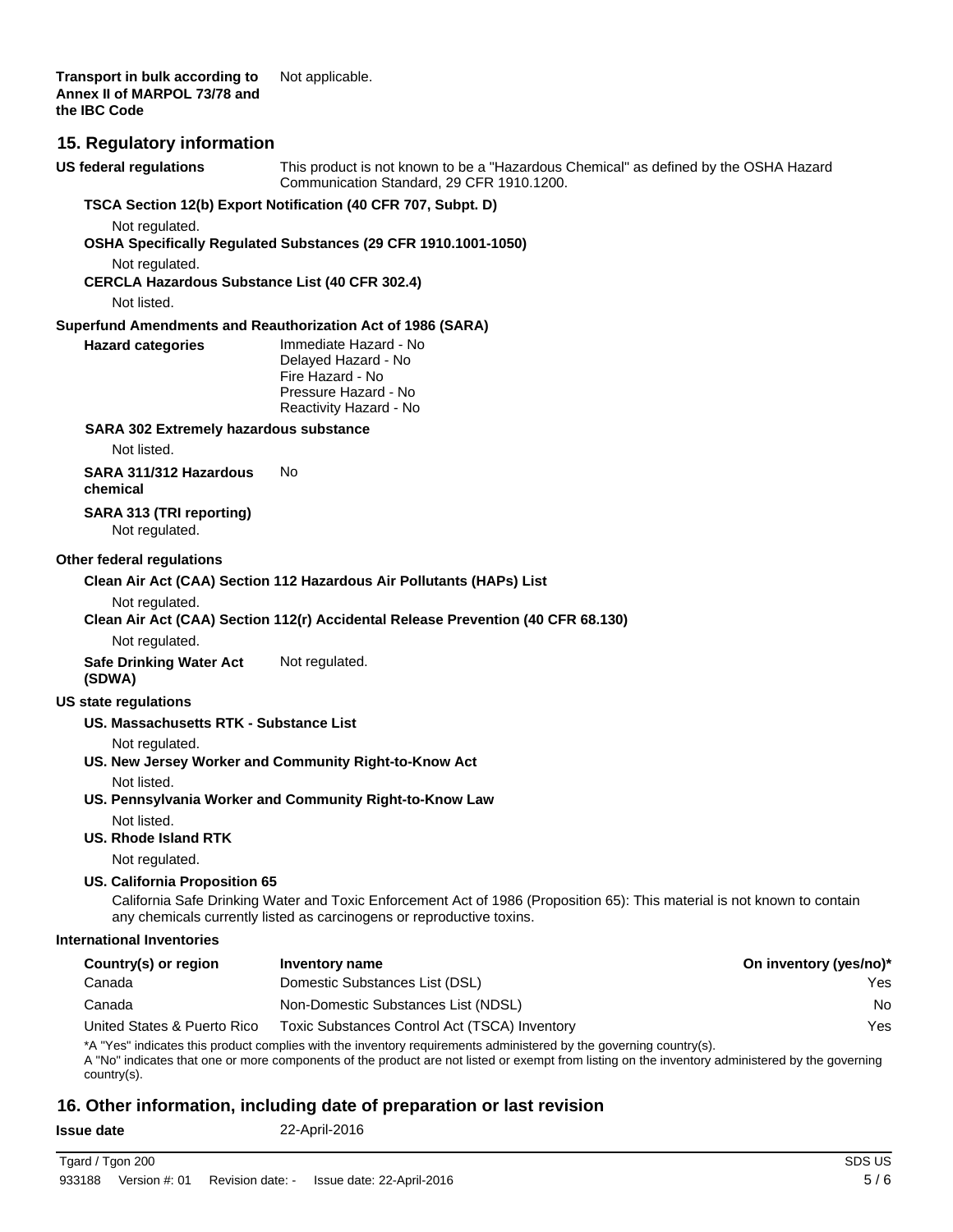### **15. Regulatory information**

This product is not known to be a "Hazardous Chemical" as defined by the OSHA Hazard Communication Standard, 29 CFR 1910.1200. **US federal regulations**

### **TSCA Section 12(b) Export Notification (40 CFR 707, Subpt. D)**

Not regulated.

**OSHA Specifically Regulated Substances (29 CFR 1910.1001-1050)**

Not regulated.

**CERCLA Hazardous Substance List (40 CFR 302.4)**

Not listed.

**Hazard categories**

#### **Superfund Amendments and Reauthorization Act of 1986 (SARA)**

| Immediate Hazard - No  |
|------------------------|
| Delayed Hazard - No    |
| Fire Hazard - No       |
| Pressure Hazard - No   |
| Reactivity Hazard - No |
|                        |

#### **SARA 302 Extremely hazardous substance**

Not listed.

**SARA 311/312 Hazardous** No **chemical**

**SARA 313 (TRI reporting)** Not regulated.

#### **Other federal regulations**

**Clean Air Act (CAA) Section 112 Hazardous Air Pollutants (HAPs) List**

Not regulated.

### **Clean Air Act (CAA) Section 112(r) Accidental Release Prevention (40 CFR 68.130)**

Not regulated.

**Safe Drinking Water Act** Not regulated. **(SDWA)**

#### **US state regulations**

#### **US. Massachusetts RTK - Substance List**

Not regulated.

### **US. New Jersey Worker and Community Right-to-Know Act**

Not listed.

**US. Pennsylvania Worker and Community Right-to-Know Law**

Not listed.

### **US. Rhode Island RTK**

Not regulated.

### **US. California Proposition 65**

California Safe Drinking Water and Toxic Enforcement Act of 1986 (Proposition 65): This material is not known to contain any chemicals currently listed as carcinogens or reproductive toxins.

#### **International Inventories**

| Country(s) or region        | Inventory name                                | On inventory (yes/no)* |
|-----------------------------|-----------------------------------------------|------------------------|
| Canada                      | Domestic Substances List (DSL)                | Yes                    |
| Canada                      | Non-Domestic Substances List (NDSL)           | No                     |
| United States & Puerto Rico | Toxic Substances Control Act (TSCA) Inventory | Yes                    |

\*A "Yes" indicates this product complies with the inventory requirements administered by the governing country(s).

A "No" indicates that one or more components of the product are not listed or exempt from listing on the inventory administered by the governing country(s).

### **16. Other information, including date of preparation or last revision**